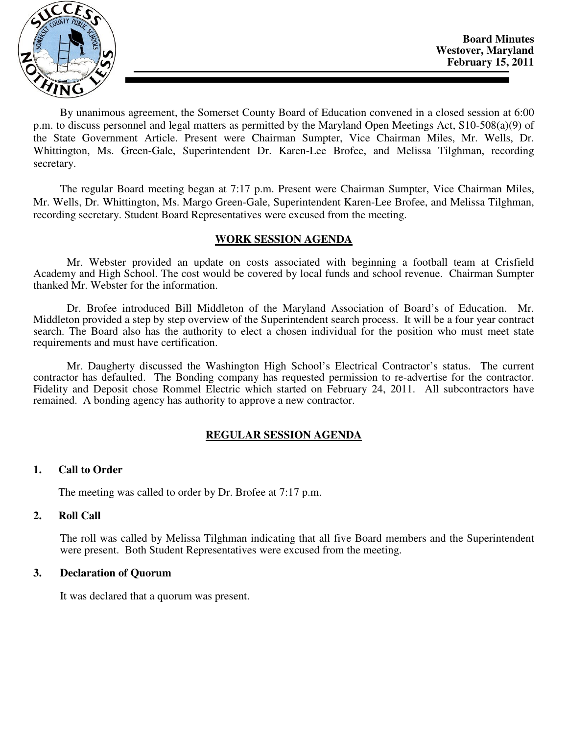

By unanimous agreement, the Somerset County Board of Education convened in a closed session at 6:00 p.m. to discuss personnel and legal matters as permitted by the Maryland Open Meetings Act, S10-508(a)(9) of the State Government Article. Present were Chairman Sumpter, Vice Chairman Miles, Mr. Wells, Dr. Whittington, Ms. Green-Gale, Superintendent Dr. Karen-Lee Brofee, and Melissa Tilghman, recording secretary.

The regular Board meeting began at 7:17 p.m. Present were Chairman Sumpter, Vice Chairman Miles, Mr. Wells, Dr. Whittington, Ms. Margo Green-Gale, Superintendent Karen-Lee Brofee, and Melissa Tilghman, recording secretary. Student Board Representatives were excused from the meeting.

# **WORK SESSION AGENDA**

Mr. Webster provided an update on costs associated with beginning a football team at Crisfield Academy and High School. The cost would be covered by local funds and school revenue. Chairman Sumpter thanked Mr. Webster for the information.

Dr. Brofee introduced Bill Middleton of the Maryland Association of Board's of Education. Mr. Middleton provided a step by step overview of the Superintendent search process. It will be a four year contract search. The Board also has the authority to elect a chosen individual for the position who must meet state requirements and must have certification.

Mr. Daugherty discussed the Washington High School's Electrical Contractor's status. The current contractor has defaulted. The Bonding company has requested permission to re-advertise for the contractor. Fidelity and Deposit chose Rommel Electric which started on February 24, 2011. All subcontractors have remained. A bonding agency has authority to approve a new contractor.

# **REGULAR SESSION AGENDA**

## **1. Call to Order**

The meeting was called to order by Dr. Brofee at 7:17 p.m.

## **2. Roll Call**

The roll was called by Melissa Tilghman indicating that all five Board members and the Superintendent were present. Both Student Representatives were excused from the meeting.

## **3. Declaration of Quorum**

It was declared that a quorum was present.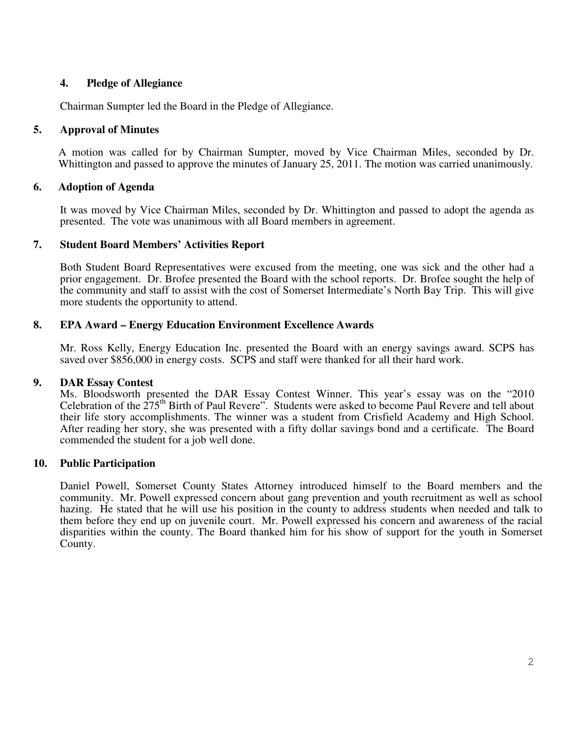# **4. Pledge of Allegiance**

Chairman Sumpter led the Board in the Pledge of Allegiance.

# **5. Approval of Minutes**

A motion was called for by Chairman Sumpter, moved by Vice Chairman Miles, seconded by Dr. Whittington and passed to approve the minutes of January 25, 2011. The motion was carried unanimously.

# **6. Adoption of Agenda**

 It was moved by Vice Chairman Miles, seconded by Dr. Whittington and passed to adopt the agenda as presented. The vote was unanimous with all Board members in agreement.

# **7. Student Board Members' Activities Report**

Both Student Board Representatives were excused from the meeting, one was sick and the other had a prior engagement. Dr. Brofee presented the Board with the school reports. Dr. Brofee sought the help of the community and staff to assist with the cost of Somerset Intermediate's North Bay Trip. This will give more students the opportunity to attend.

# **8. EPA Award – Energy Education Environment Excellence Awards**

Mr. Ross Kelly, Energy Education Inc. presented the Board with an energy savings award. SCPS has saved over \$856,000 in energy costs. SCPS and staff were thanked for all their hard work.

## **9. DAR Essay Contest**

Ms. Bloodsworth presented the DAR Essay Contest Winner. This year's essay was on the "2010 Celebration of the  $275<sup>th</sup>$  Birth of Paul Revere". Students were asked to become Paul Revere and tell about their life story accomplishments. The winner was a student from Crisfield Academy and High School. After reading her story, she was presented with a fifty dollar savings bond and a certificate. The Board commended the student for a job well done.

# **10. Public Participation**

Daniel Powell, Somerset County States Attorney introduced himself to the Board members and the community. Mr. Powell expressed concern about gang prevention and youth recruitment as well as school hazing. He stated that he will use his position in the county to address students when needed and talk to them before they end up on juvenile court. Mr. Powell expressed his concern and awareness of the racial disparities within the county. The Board thanked him for his show of support for the youth in Somerset County.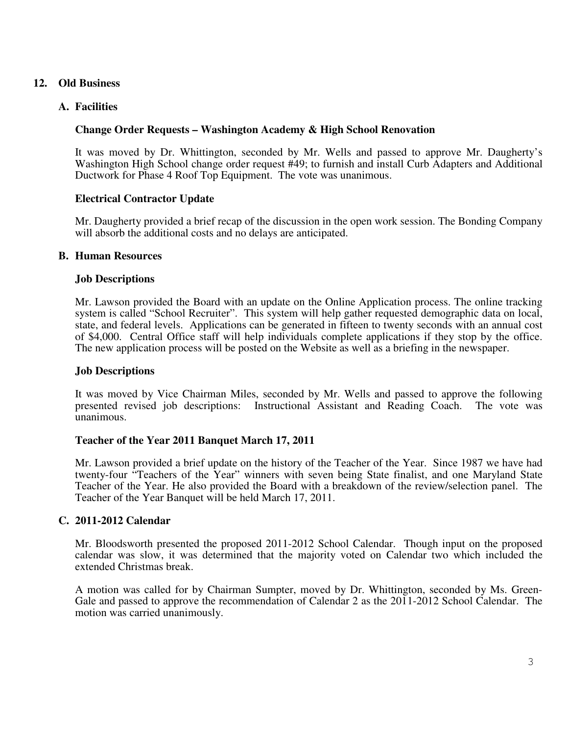# **12. Old Business**

# **A. Facilities**

## **Change Order Requests – Washington Academy & High School Renovation**

It was moved by Dr. Whittington, seconded by Mr. Wells and passed to approve Mr. Daugherty's Washington High School change order request #49; to furnish and install Curb Adapters and Additional Ductwork for Phase 4 Roof Top Equipment. The vote was unanimous.

#### **Electrical Contractor Update**

Mr. Daugherty provided a brief recap of the discussion in the open work session. The Bonding Company will absorb the additional costs and no delays are anticipated.

#### **B. Human Resources**

#### **Job Descriptions**

Mr. Lawson provided the Board with an update on the Online Application process. The online tracking system is called "School Recruiter". This system will help gather requested demographic data on local, state, and federal levels. Applications can be generated in fifteen to twenty seconds with an annual cost of \$4,000. Central Office staff will help individuals complete applications if they stop by the office. The new application process will be posted on the Website as well as a briefing in the newspaper.

#### **Job Descriptions**

It was moved by Vice Chairman Miles, seconded by Mr. Wells and passed to approve the following presented revised job descriptions: Instructional Assistant and Reading Coach. The vote was unanimous.

## **Teacher of the Year 2011 Banquet March 17, 2011**

Mr. Lawson provided a brief update on the history of the Teacher of the Year. Since 1987 we have had twenty-four "Teachers of the Year" winners with seven being State finalist, and one Maryland State Teacher of the Year. He also provided the Board with a breakdown of the review/selection panel. The Teacher of the Year Banquet will be held March 17, 2011.

## **C. 2011-2012 Calendar**

Mr. Bloodsworth presented the proposed 2011-2012 School Calendar. Though input on the proposed calendar was slow, it was determined that the majority voted on Calendar two which included the extended Christmas break.

A motion was called for by Chairman Sumpter, moved by Dr. Whittington, seconded by Ms. Green-Gale and passed to approve the recommendation of Calendar 2 as the 2011-2012 School Calendar. The motion was carried unanimously.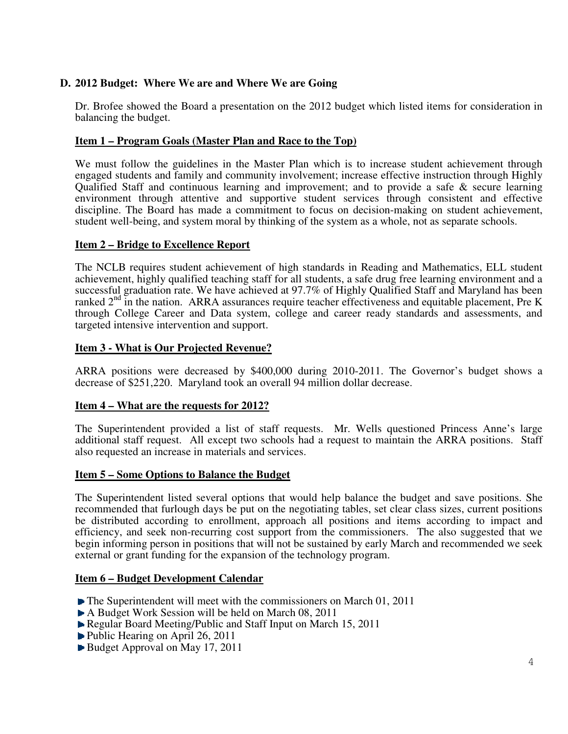# **D. 2012 Budget: Where We are and Where We are Going**

Dr. Brofee showed the Board a presentation on the 2012 budget which listed items for consideration in balancing the budget.

# **Item 1 – Program Goals (Master Plan and Race to the Top)**

We must follow the guidelines in the Master Plan which is to increase student achievement through engaged students and family and community involvement; increase effective instruction through Highly Qualified Staff and continuous learning and improvement; and to provide a safe & secure learning environment through attentive and supportive student services through consistent and effective discipline. The Board has made a commitment to focus on decision-making on student achievement, student well-being, and system moral by thinking of the system as a whole, not as separate schools.

## **Item 2 – Bridge to Excellence Report**

The NCLB requires student achievement of high standards in Reading and Mathematics, ELL student achievement, highly qualified teaching staff for all students, a safe drug free learning environment and a successful graduation rate. We have achieved at 97.7% of Highly Qualified Staff and Maryland has been ranked 2<sup>nd</sup> in the nation. ARRA assurances require teacher effectiveness and equitable placement, Pre K through College Career and Data system, college and career ready standards and assessments, and targeted intensive intervention and support.

## **Item 3 - What is Our Projected Revenue?**

ARRA positions were decreased by \$400,000 during 2010-2011. The Governor's budget shows a decrease of \$251,220. Maryland took an overall 94 million dollar decrease.

## **Item 4 – What are the requests for 2012?**

The Superintendent provided a list of staff requests. Mr. Wells questioned Princess Anne's large additional staff request. All except two schools had a request to maintain the ARRA positions. Staff also requested an increase in materials and services.

## **Item 5 – Some Options to Balance the Budget**

The Superintendent listed several options that would help balance the budget and save positions. She recommended that furlough days be put on the negotiating tables, set clear class sizes, current positions be distributed according to enrollment, approach all positions and items according to impact and efficiency, and seek non-recurring cost support from the commissioners. The also suggested that we begin informing person in positions that will not be sustained by early March and recommended we seek external or grant funding for the expansion of the technology program.

## **Item 6 – Budget Development Calendar**

- The Superintendent will meet with the commissioners on March 01, 2011
- A Budget Work Session will be held on March 08, 2011
- Regular Board Meeting/Public and Staff Input on March 15, 2011
- ▶ Public Hearing on April 26, 2011
- Budget Approval on May 17, 2011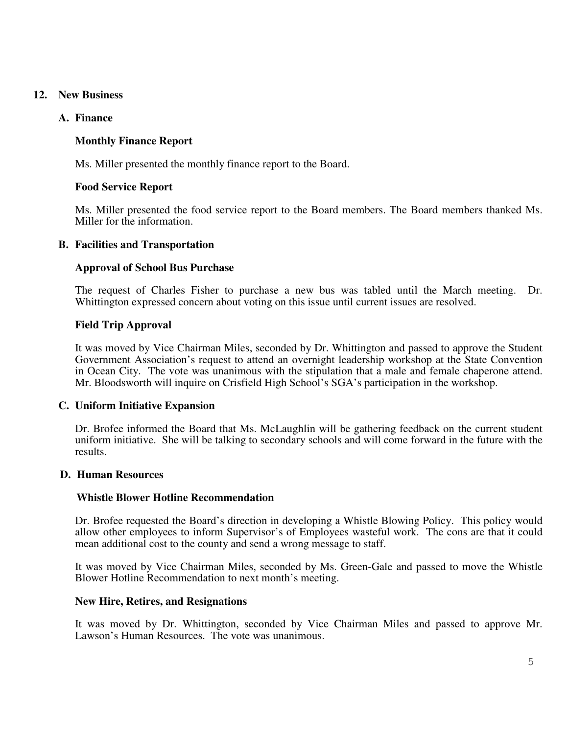# **12. New Business**

# **A. Finance**

# **Monthly Finance Report**

Ms. Miller presented the monthly finance report to the Board.

# **Food Service Report**

Ms. Miller presented the food service report to the Board members. The Board members thanked Ms. Miller for the information.

# **B. Facilities and Transportation**

# **Approval of School Bus Purchase**

The request of Charles Fisher to purchase a new bus was tabled until the March meeting. Dr. Whittington expressed concern about voting on this issue until current issues are resolved.

# **Field Trip Approval**

It was moved by Vice Chairman Miles, seconded by Dr. Whittington and passed to approve the Student Government Association's request to attend an overnight leadership workshop at the State Convention in Ocean City. The vote was unanimous with the stipulation that a male and female chaperone attend. Mr. Bloodsworth will inquire on Crisfield High School's SGA's participation in the workshop.

## **C. Uniform Initiative Expansion**

Dr. Brofee informed the Board that Ms. McLaughlin will be gathering feedback on the current student uniform initiative. She will be talking to secondary schools and will come forward in the future with the results.

## **D. Human Resources**

## **Whistle Blower Hotline Recommendation**

Dr. Brofee requested the Board's direction in developing a Whistle Blowing Policy. This policy would allow other employees to inform Supervisor's of Employees wasteful work. The cons are that it could mean additional cost to the county and send a wrong message to staff.

It was moved by Vice Chairman Miles, seconded by Ms. Green-Gale and passed to move the Whistle Blower Hotline Recommendation to next month's meeting.

## **New Hire, Retires, and Resignations**

It was moved by Dr. Whittington, seconded by Vice Chairman Miles and passed to approve Mr. Lawson's Human Resources. The vote was unanimous.